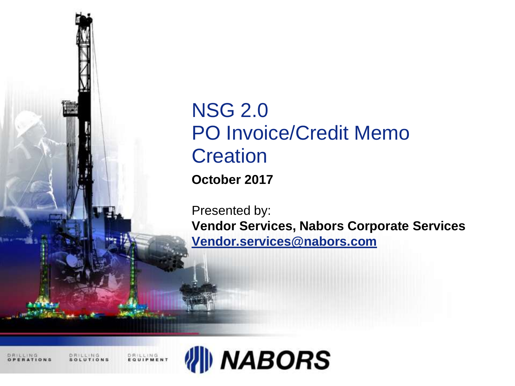

# NSG 2.0 PO Invoice/Credit Memo **Creation**

**October 2017**

Presented by:

**Vendor Services, Nabors Corporate Services [Vendor.services@nabors.com](mailto:Vendor.services@nabors.com)**

DRILLING

DRILLING<br>EQUIPMENT

日発にしけは良

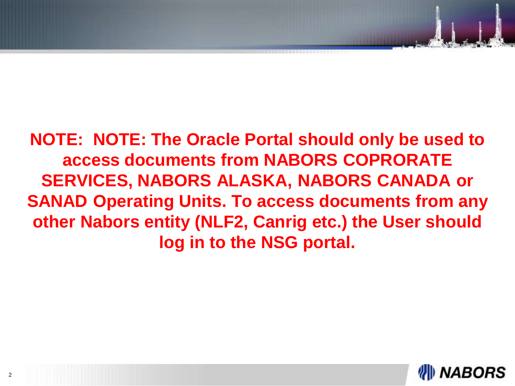**NOTE: NOTE: The Oracle Portal should only be used to access documents from NABORS COPRORATE SERVICES, NABORS ALASKA, NABORS CANADA or SANAD Operating Units. To access documents from any other Nabors entity (NLF2, Canrig etc.) the User should log in to the NSG portal.**

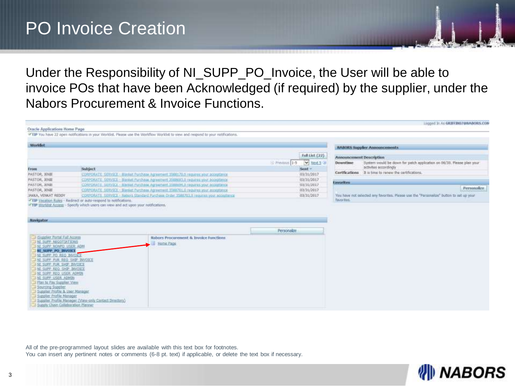# PO Invoice Creation

Under the Responsibility of NI\_SUPP\_PO\_Invoice, the User will be able to invoice POs that have been Acknowledged (if required) by the supplier, under the Nabors Procurement & Invoice Functions.

| Oracle Applications Home Page                                                                                                                                                       |                                                                 | *TIP You have 22 open notifications in your Worldst, Please use the Worldfox Worldst to view and respond to your notifications.                                        |                                                              |                                             | Lingged In As GRIFFING 78HADORS.COM                                                             |
|-------------------------------------------------------------------------------------------------------------------------------------------------------------------------------------|-----------------------------------------------------------------|------------------------------------------------------------------------------------------------------------------------------------------------------------------------|--------------------------------------------------------------|---------------------------------------------|-------------------------------------------------------------------------------------------------|
| <b>Worklist</b>                                                                                                                                                                     |                                                                 |                                                                                                                                                                        |                                                              |                                             |                                                                                                 |
|                                                                                                                                                                                     |                                                                 |                                                                                                                                                                        |                                                              |                                             | <b>HARORS Supplier Announcements</b>                                                            |
|                                                                                                                                                                                     | Subject                                                         |                                                                                                                                                                        | Full List (22)<br>V liest 5 to<br>O Previous 1-5<br>$Sent =$ | Announcement Description<br><b>Downtime</b> | System would be down for petch application on 06/30. Flease plan your<br>activities accordingly |
| from                                                                                                                                                                                |                                                                 | CORPORATE: SERVICE - Manfuel Forchese Agreement 3586170.0 requires your acceptance                                                                                     | 03/31/2017                                                   |                                             | Certfications 2 is time to renew the certifications.                                            |
| PASTOR, JENJE<br>PASTOR, JENJE<br>PASTOR, JENJE                                                                                                                                     |                                                                 | CONFORATE: SERVICE - Blocket Funchese Agreement 3588693.0 medires your acceptance<br>CORPORATE SERVICE - Blanket Purchase Agreement SSBBE94.0 requires your acceptance | 03/31/2017<br>03/31/2017                                     | <b>Favorities</b>                           |                                                                                                 |
| <b>FASTOR, JENIE</b>                                                                                                                                                                |                                                                 | CORPORATE SERVICE - Banket Furchers Agreement 1586701.0 miguires your acceptance                                                                                       | 03/31/2017                                                   |                                             | Personalize                                                                                     |
| <b>JAKKA, VENKAT REDDY</b>                                                                                                                                                          |                                                                 | CORPORATE SERVICE - Nations Standard Purchase Order 3588703.8 registrar voor acceptance                                                                                | 03/31/2017                                                   |                                             | You have not selected any favorites. Please use the "Ferranalize" button to set up your         |
|                                                                                                                                                                                     | TIP Vacation Rules - Redirect or auto-respond to notifications. |                                                                                                                                                                        |                                                              | <b>Tayor Nest</b>                           |                                                                                                 |
| Navigator                                                                                                                                                                           |                                                                 |                                                                                                                                                                        | Personalze                                                   |                                             |                                                                                                 |
| - I ISupplier Portal Full Access<br><b>NI SUPP NECOTIATIONS</b><br>IN SUPP HONPO USER ADM.<br><b>NI SUPP PO BIVOICE</b><br>INI SUPP PO RED DIVIDILE<br>IN SUPPLINE REQUIRED INVOICE |                                                                 | Nabors Procurement & Invoice Functions<br>Hortel Page                                                                                                                  |                                                              |                                             |                                                                                                 |

All of the pre-programmed layout slides are available with this text box for footnotes. You can insert any pertinent notes or comments (6-8 pt. text) if applicable, or delete the text box if necessary.

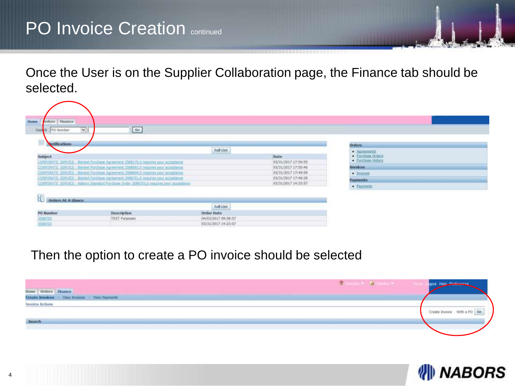Once the User is on the Supplier Collaboration page, the Finance tab should be selected.

| brders   Finance<br><b>Home</b> |                                                                                       |                     |                     |                                      |  |
|---------------------------------|---------------------------------------------------------------------------------------|---------------------|---------------------|--------------------------------------|--|
| PO Number<br>544                | $\sim$<br>$-60$                                                                       |                     |                     |                                      |  |
| 莊<br>sotifications.             |                                                                                       |                     |                     | <b>Orders</b>                        |  |
| Subject                         |                                                                                       | Full List           | <b>Date</b>         | $-$ Agreements<br>· Purithman Orders |  |
|                                 | CORPORATE SERVICE - Banket Purchase Agreement 3368170,0 requires your acceptance      |                     | 03/31/2017 17:50:55 | · Portform History                   |  |
|                                 | CORPORATE SERVICE - Blanket Punchase Agreement 3588893.0 requires your acceptance     |                     | 03/31/2017 17:50:40 | ascidoval                            |  |
|                                 | CORPORATE SERVICE - Banket Minthuse Agreement JORNARD requires your acceptance        |                     | 03/31/2017 17:49:59 | $-$ <i>Invertors</i>                 |  |
|                                 | CORPORATE: SERVICE - Banket Purchase, Agreement 2008701.0 requires your acceptance    |                     | 03/31/2017 17:40:28 | <b>Payments</b>                      |  |
|                                 | CORPORATE SERVICE - Nabore Standard Purchase Order 3581703.0 requires your accentance |                     | 03/31/2017 14:25:57 | $-$ Payments                         |  |
| Orders At A Glance              |                                                                                       |                     |                     |                                      |  |
|                                 |                                                                                       | Full List.          |                     |                                      |  |
| PO llumber                      | Description                                                                           | Order Date          |                     |                                      |  |
| 3500705                         | TEST Purposes                                                                         | 04/03/2017 09:58:57 |                     |                                      |  |
| 2548203                         | <b>STATISTICS</b> STR                                                                 | 03/31/2017 14:23:07 |                     |                                      |  |

#### Then the option to create a PO invoice should be selected

| flome   Orders   Finance<br>Create Invoices   View Invoices   View Payments | The second control of the second |                             |
|-----------------------------------------------------------------------------|----------------------------------|-----------------------------|
| <b>Invoice Actions</b><br>.                                                 |                                  | Create Invoice With a PO Go |
| Search                                                                      |                                  |                             |

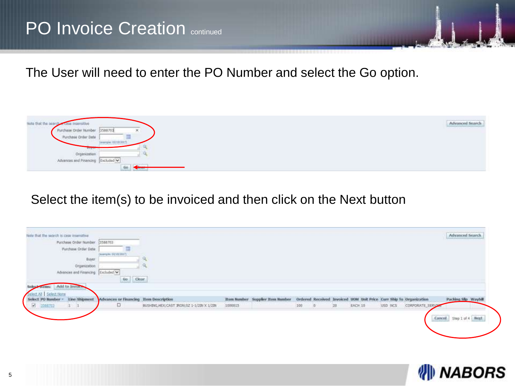The User will need to enter the PO Number and select the Go option.



#### Select the item(s) to be invoiced and then click on the Next button

| Note that the search is case insensitive                                                                                        |                                        |                                             |         |                                        |     |      |    |                                                                    |         |                  | Advanced Search         |  |
|---------------------------------------------------------------------------------------------------------------------------------|----------------------------------------|---------------------------------------------|---------|----------------------------------------|-----|------|----|--------------------------------------------------------------------|---------|------------------|-------------------------|--|
| Purchase Order Number                                                                                                           | 3588703                                |                                             |         |                                        |     |      |    |                                                                    |         |                  |                         |  |
| Funchase Order Date                                                                                                             |                                        |                                             |         |                                        |     |      |    |                                                                    |         |                  |                         |  |
| <b>President and the company's company's the company's company's company's company's company's company's company's</b><br>Buyer | (жанцім) 02/10/2017)                   |                                             |         |                                        |     |      |    |                                                                    |         |                  |                         |  |
| Organization                                                                                                                    |                                        |                                             |         |                                        |     |      |    |                                                                    |         |                  |                         |  |
| Advances and Financing Excluded V.                                                                                              |                                        |                                             |         |                                        |     |      |    |                                                                    |         |                  |                         |  |
|                                                                                                                                 | 6a<br>Clear <sup>7</sup>               |                                             |         |                                        |     |      |    |                                                                    |         |                  |                         |  |
| Add to linvoir<br><b>TERHING</b>                                                                                                |                                        |                                             |         |                                        |     |      |    |                                                                    |         |                  |                         |  |
| Select All Select None                                                                                                          |                                        |                                             |         |                                        |     |      |    |                                                                    |         |                  |                         |  |
| tine Shipment<br>Select PO limiber                                                                                              | Advances or Financing Them Description |                                             |         | <b>Ren hunder Supplier Ren liunder</b> |     |      |    | Ordered Received Invoiced UOM Unit Price Curr Ship To Organization |         |                  | Packing Sip Waybill     |  |
| $\overline{\mathbb{R}}$<br><b>State Top</b><br>$1 - 1$                                                                          | o                                      | BUSHING, HEX; CAST IRON; SZ 1-1/20V X 1/20V | 1000015 |                                        | 100 | $-0$ | 20 | EACH 10                                                            | USD NCS | CORPORATE_SERVER |                         |  |
|                                                                                                                                 |                                        |                                             |         |                                        |     |      |    |                                                                    |         |                  |                         |  |
|                                                                                                                                 |                                        |                                             |         |                                        |     |      |    |                                                                    |         |                  | Cancel Step 1 of 4 Heat |  |
|                                                                                                                                 |                                        |                                             |         |                                        |     |      |    |                                                                    |         |                  |                         |  |

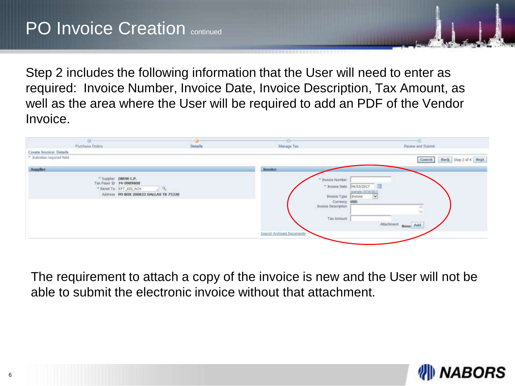Step 2 includes the following information that the User will need to enter as required: Invoice Number, Invoice Date, Invoice Description, Tax Amount, as well as the area where the User will be required to add an PDF of the Vendor Invoice.

|                                                       | ۰<br>Punzhasa Onlara                                                                                             | <b>Details</b> | ದಾರ್<br>Manage Tax        | Review and Submit                                                                                                      |
|-------------------------------------------------------|------------------------------------------------------------------------------------------------------------------|----------------|---------------------------|------------------------------------------------------------------------------------------------------------------------|
| Create Invoice: Details<br>* Indicates required field |                                                                                                                  |                |                           | Back Step 2 of 4 Heat<br>Cancel.                                                                                       |
| Supplier                                              |                                                                                                                  |                | <b>Invoice</b>            |                                                                                                                        |
|                                                       | * Supplier DNOW L.P.<br>Tax Payer ID 74-0989800<br>* Rent To EFT EDLACH<br>Address PO BOX 200822 DALLAS TX 75320 |                |                           | " Isyaice Nomber<br>04/03/2017<br>* Invoice Date<br><b>Janery for 70/15/2017</b><br>Invoice Type<br>$\vee$<br>Invoice: |
|                                                       |                                                                                                                  |                |                           | USD<br>Currancy<br>Invoice Description<br>w<br>Tax Amount<br><b>ASSAULT PRO</b>                                        |
|                                                       |                                                                                                                  |                | Search Archived Documents | Attachment None Add                                                                                                    |

The requirement to attach a copy of the invoice is new and the User will not be able to submit the electronic invoice without that attachment.

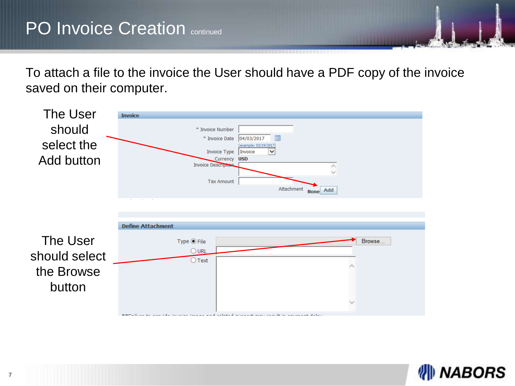To attach a file to the invoice the User should have a PDF copy of the invoice saved on their computer.



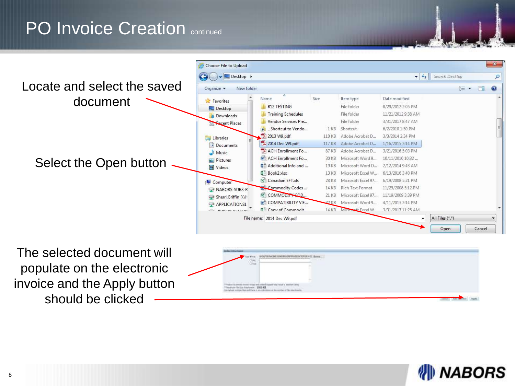

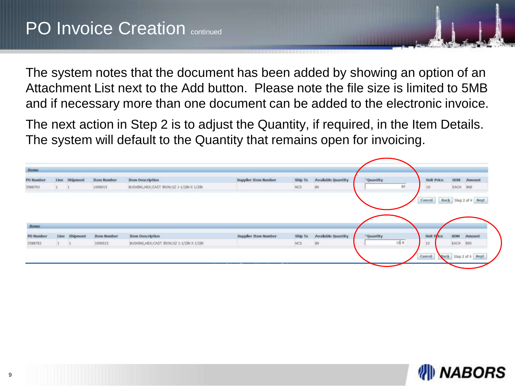The system notes that the document has been added by showing an option of an Attachment List next to the Add button. Please note the file size is limited to 5MB and if necessary more than one document can be added to the electronic invoice.

The next action in Step 2 is to adjust the Quantity, if required, in the Item Details. The system will default to the Quantity that remains open for invoicing.

| <b>PO Bumber</b>    | Linu. | Shamont  | <b>Them Humber</b> | Item Description                            | Supplier Item Number | Ship To    | Available Quantity | "Quantity |             | <b>Unit Price</b> |                       | <b>UCIM</b> Amount |
|---------------------|-------|----------|--------------------|---------------------------------------------|----------------------|------------|--------------------|-----------|-------------|-------------------|-----------------------|--------------------|
| 3588703             |       |          | 1000015            | BUSHING HEX; CAST BION; \$2.1-1/2BV X 1/2BV |                      | <b>NCS</b> | iso.               |           | 00          | 10                | EACH 800              |                    |
|                     |       |          |                    |                                             |                      |            |                    |           |             |                   |                       |                    |
|                     |       |          |                    |                                             |                      |            |                    |           |             | Cancel:           | Back Step 2 of 4 Negt |                    |
|                     |       |          |                    |                                             |                      |            |                    |           |             |                   |                       |                    |
|                     |       |          |                    |                                             |                      |            |                    |           |             |                   |                       |                    |
|                     |       |          |                    |                                             |                      |            |                    |           |             |                   |                       |                    |
|                     |       |          |                    |                                             |                      |            |                    |           |             |                   |                       |                    |
|                     |       |          |                    |                                             |                      |            |                    |           |             |                   |                       |                    |
|                     |       |          |                    |                                             |                      |            |                    |           |             |                   |                       |                    |
| Items:<br>PO Number | Line: | Shipment | <b>Item Number</b> | Item Description                            | Supplier Item Number | Ship To    | Available Quantity | "Quantity |             | Unit Price        | <b>NON</b>            | Amount             |
| 3585703.            |       |          | 1000015            | BUSHING HEICCAST JRON/SZ 1-1/20x X 1/22V    |                      | NCS        | 180                |           | $10 \times$ | 山                 | EACH -                | -800               |

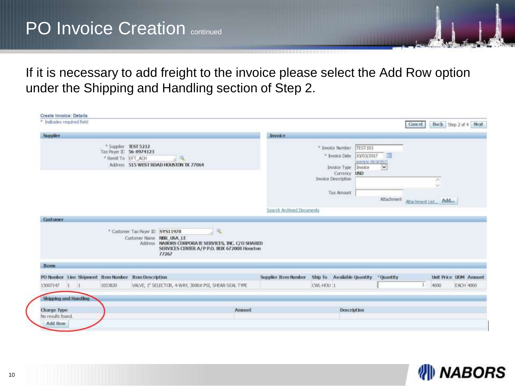If it is necessary to add freight to the invoice please select the Add Row option under the Shipping and Handling section of Step 2.

| Create Invoice: Details                            |                                                                       |                                                                                                            |              |                           |           |                                                                                                                                       |                                                  |        |                         |                       |
|----------------------------------------------------|-----------------------------------------------------------------------|------------------------------------------------------------------------------------------------------------|--------------|---------------------------|-----------|---------------------------------------------------------------------------------------------------------------------------------------|--------------------------------------------------|--------|-------------------------|-----------------------|
| * Indicates regulred field                         |                                                                       |                                                                                                            |              |                           |           |                                                                                                                                       |                                                  | Cancel |                         | Back Step 2 of 4 Next |
| <b>Supplier</b>                                    |                                                                       |                                                                                                            |              | <b>Invoice</b>            |           |                                                                                                                                       |                                                  |        |                         |                       |
|                                                    | * Supplier TEST 5212<br>Tax Payer IE 56-8974123<br>* Renit To EFT ACH | Q,<br>Address 515 WEST ROAD HOUSTON TX 77064                                                               |              |                           |           | * Invoice Number<br>TEST103<br>* Invoice Date<br>10/03/2017<br>Invoice Type<br>Invoice<br>Currency <b>LISD</b><br>Invoice Description | - 6<br>DESCRIPTION AND RESIDENCE<br>$\checkmark$ |        | n.                      |                       |
|                                                    |                                                                       |                                                                                                            |              |                           |           |                                                                                                                                       |                                                  |        | $\sim$                  |                       |
|                                                    |                                                                       |                                                                                                            |              |                           |           | Tax Amount                                                                                                                            | Attachment                                       |        | Attachment List., Add., |                       |
|                                                    |                                                                       |                                                                                                            |              | Search Archived Documents |           |                                                                                                                                       |                                                  |        |                         |                       |
|                                                    | * Customer Tax Payer ID 5YS11978<br>Customer Name NBR USA LE          | Address NABORS CORPORATE SERVICES, INC. C/O SHARED<br>SERVICES CENTER A/P P.O. BOX 672008 Houston<br>77267 | $\mathbb{Q}$ |                           |           |                                                                                                                                       |                                                  |        |                         |                       |
| <b>Rens</b>                                        |                                                                       |                                                                                                            |              |                           |           |                                                                                                                                       |                                                  |        |                         |                       |
| PO Number Line Shipment Rem Number Rem Description |                                                                       |                                                                                                            |              | Supplier Item Number      |           | Ship To Available Quantity                                                                                                            | *Quantity                                        |        |                         | Unit Price UOM Amount |
| 1033820<br>15007147<br>п                           |                                                                       | VALVE, I" SELECTOR, 4-WAY, 3000# PSI, SHEAR-SEAL TYPE                                                      |              |                           | CWL-HOU 1 |                                                                                                                                       |                                                  | $\pm$  | 4900                    | EACH 4000             |
| Shipping and Handling                              |                                                                       |                                                                                                            |              |                           |           |                                                                                                                                       |                                                  |        |                         |                       |
| Charge Type<br>No results found.                   |                                                                       |                                                                                                            | Amount       |                           |           | <b>Description</b>                                                                                                                    |                                                  |        |                         |                       |
| Add Row                                            |                                                                       |                                                                                                            |              |                           |           |                                                                                                                                       |                                                  |        |                         |                       |

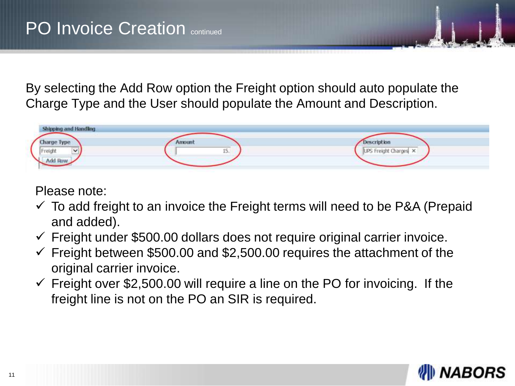By selecting the Add Row option the Freight option should auto populate the Charge Type and the User should populate the Amount and Description.

| Shipping and Handling |        |                       |
|-----------------------|--------|-----------------------|
| <b>Charge Type</b>    | Amount | Description           |
| Freight<br>$\sim$     | 15.    | UPS Freight Charges X |
| Add Row               |        |                       |

Please note:

- $\checkmark$  To add freight to an invoice the Freight terms will need to be P&A (Prepaid and added).
- $\checkmark$  Freight under \$500.00 dollars does not require original carrier invoice.
- $\checkmark$  Freight between \$500.00 and \$2,500.00 requires the attachment of the original carrier invoice.
- $\checkmark$  Freight over \$2,500.00 will require a line on the PO for invoicing. If the freight line is not on the PO an SIR is required.

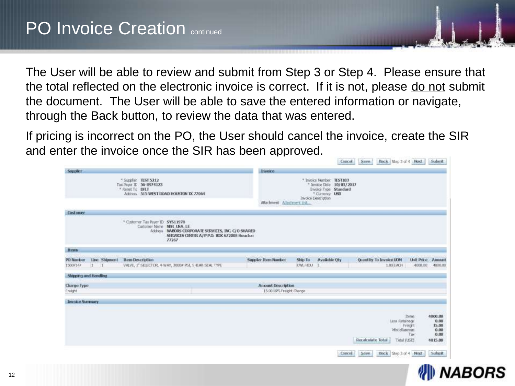The User will be able to review and submit from Step 3 or Step 4. Please ensure that the total reflected on the electronic invoice is correct. If it is not, please do not submit the document. The User will be able to save the entered information or navigate, through the Back button, to review the data that was entered.

If pricing is incorrect on the PO, the User should cancel the invoice, create the SIR and enter the invoice once the SIR has been approved.

|                                                          |                                                                                                            |                                                                                                             |                           |                      | <b>Cancel</b>                                                                                                            | Save.                   | Hock Step 1 of 4 Negt                          |                          | Submit.                                             |
|----------------------------------------------------------|------------------------------------------------------------------------------------------------------------|-------------------------------------------------------------------------------------------------------------|---------------------------|----------------------|--------------------------------------------------------------------------------------------------------------------------|-------------------------|------------------------------------------------|--------------------------|-----------------------------------------------------|
| Supplier                                                 |                                                                                                            |                                                                                                             | <b>Invoice</b>            |                      |                                                                                                                          |                         |                                                |                          |                                                     |
|                                                          | * Suppler TEST 5212<br>Tax Payer ID 56-8974123<br>* Remit To DRT<br>Address 515 WEST ROAD HOUSTON DC 77064 |                                                                                                             | Attachment Attachment Ust |                      | * Invoice Number H-ST103<br>* Javoice Date 10/03/2017<br>Invoice Type Standard<br>* Curriency USD<br>Invoice Description |                         |                                                |                          |                                                     |
| Cirstomer                                                |                                                                                                            |                                                                                                             |                           |                      |                                                                                                                          |                         |                                                |                          |                                                     |
|                                                          | * Customer Tax Payer ID: SYS11978<br>Customer Name NISR LISA LE                                            | Address INABORS CORPORATE SERVICES, INC. C/O SHARED<br>SERVICES CENTER A/P P.O. BOX 672008 Houston<br>11267 |                           |                      |                                                                                                                          |                         |                                                |                          |                                                     |
| <b>Hens</b>                                              |                                                                                                            |                                                                                                             |                           |                      |                                                                                                                          |                         |                                                |                          |                                                     |
| Line Shipmont<br><b>PO Nunber</b><br>15007147<br>$1 - 1$ | <b>Rem Description</b>                                                                                     | VAVE, I' SEECTOR, 4-WAY, 30004 PSI, SHEAR-SEALTYPE                                                          | Supplier Item Number      | Ship To<br>CWL-HOU 1 | Available Oty                                                                                                            | Quantity To Invoice UOM | 1.00 EACH                                      | Unit Price Amount        | 4000.00 4000.00                                     |
| Shipping and Handling                                    |                                                                                                            |                                                                                                             |                           |                      |                                                                                                                          |                         |                                                |                          |                                                     |
| <b>Charge Type</b>                                       |                                                                                                            |                                                                                                             | <b>Amount Description</b> |                      |                                                                                                                          |                         |                                                |                          |                                                     |
| Freight                                                  |                                                                                                            | H.                                                                                                          | 15.00 UPS Freight Charge  |                      |                                                                                                                          |                         |                                                |                          |                                                     |
| Invoice Summary                                          |                                                                                                            |                                                                                                             |                           |                      |                                                                                                                          |                         |                                                |                          |                                                     |
|                                                          |                                                                                                            |                                                                                                             |                           |                      |                                                                                                                          | Recalculate Total       | Less Retainage<br>Miscellaneous<br>Total (USD) | Thems.<br>Freight<br>Tax | 4000.00<br>0.00<br>15.00<br>0.00<br>0.00<br>4015.00 |
|                                                          |                                                                                                            |                                                                                                             |                           |                      |                                                                                                                          | Cancel Save             | Back Step 3 of 4 Next                          |                          | Submit                                              |

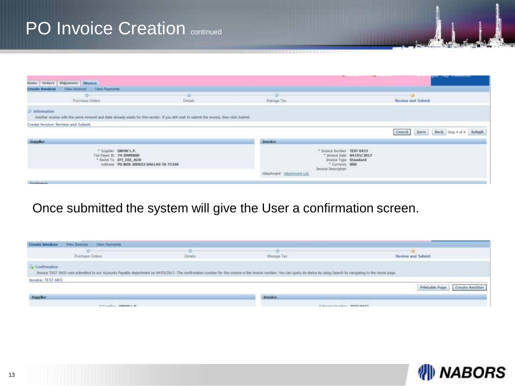| Home Orders Shipments Finance                                                                                                                             |                                       |                            | <b>The Committee of the Committee of the Committee of the Committee of the Committee of the Committee of the Committee</b> | <b>Butt</b> right <i>Litteratures</i>      |
|-----------------------------------------------------------------------------------------------------------------------------------------------------------|---------------------------------------|----------------------------|----------------------------------------------------------------------------------------------------------------------------|--------------------------------------------|
| Create Invoices View Invoices   View Payments                                                                                                             |                                       |                            |                                                                                                                            |                                            |
| Punchase Orders                                                                                                                                           | Details                               | Martage Tax                |                                                                                                                            | Review and Submit                          |
| D Information<br>Another invoice with the same Amount and Date already oxists for this vendor. If you still wish to submit the invoice, then click Submit |                                       |                            |                                                                                                                            |                                            |
| Create Invoice: Review and Submit.                                                                                                                        |                                       |                            |                                                                                                                            |                                            |
|                                                                                                                                                           |                                       |                            |                                                                                                                            | Back Step 4 of 4 Submit<br>Save.<br>Cancel |
| <b>Supplier</b>                                                                                                                                           |                                       | <b>Imvoice</b>             |                                                                                                                            |                                            |
| " Supplier DOOW L.P.<br>Tax Payer D 74-0989800<br>* Remit To EFT EDI ACH                                                                                  | Address PO BOX 200822 DALLAS TX 75320 | Attachment Attachment List | " Innioi familyr. TEST 0433<br>* Invoice Date 04/03/2017<br>Invoice Type Standard<br>* Currency USD<br>Invoice Description |                                            |
| <b>Call County McAdoor Avenue</b>                                                                                                                         |                                       |                            |                                                                                                                            |                                            |

#### Once submitted the system will give the User a confirmation screen.

| <b>Create Invoices</b><br><b>View Thynicas</b><br>View Payments                                                                                                                                                                                   |              |                                     |                                      |
|---------------------------------------------------------------------------------------------------------------------------------------------------------------------------------------------------------------------------------------------------|--------------|-------------------------------------|--------------------------------------|
| www.communication.com<br>the contract of the contract of the con-<br>œ<br>Purchase Orders                                                                                                                                                         | ÷<br>Details | Manage Tax                          | <b>Review and Submit</b>             |
| <b>Confirmation</b><br>Invoice TEST 0433 was submitted to our Accounts Payable department on 04/03/2017. The confirmation number for this invoice in the invoice number, You can guery its status by using Search by navigating to the Home page. |              |                                     |                                      |
| Invoice: TEST 0433                                                                                                                                                                                                                                |              |                                     |                                      |
|                                                                                                                                                                                                                                                   |              |                                     | Create Anothe<br>Printable Page<br>. |
| Supplier<br><b>CONTRACTOR</b>                                                                                                                                                                                                                     |              | <b>Imvoice</b><br><b>THE PERSON</b> |                                      |
| of Consideration of the control of the                                                                                                                                                                                                            |              |                                     | If Territor Homeling, "There mayor.  |

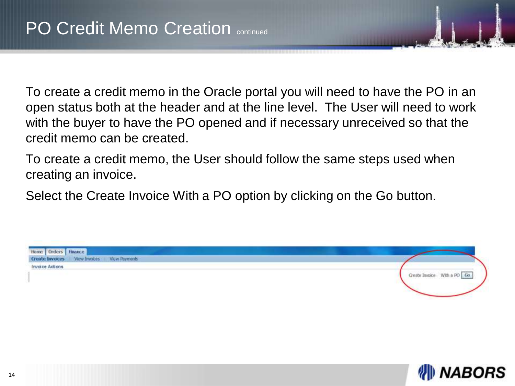To create a credit memo in the Oracle portal you will need to have the PO in an open status both at the header and at the line level. The User will need to work with the buyer to have the PO opened and if necessary unreceived so that the credit memo can be created.

To create a credit memo, the User should follow the same steps used when creating an invoice.

Select the Create Invoice With a PO option by clicking on the Go button.



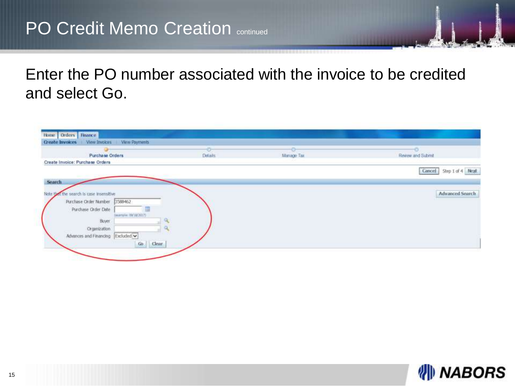# PO Credit Memo Creation continued

Enter the PO number associated with the invoice to be credited and select Go.

|                                          | ÷              | -99        |                                         |
|------------------------------------------|----------------|------------|-----------------------------------------|
| Purchase Orders                          | <b>Details</b> | Manage Tax | Review and Submit                       |
| Create Invoice: Purchase Orders          |                |            |                                         |
|                                          |                |            | Step 1 of 4 Next<br>Cancel <sup>1</sup> |
|                                          |                |            |                                         |
| Search                                   |                |            |                                         |
| Note that the search is case insensitive |                |            | Advanced Search                         |
|                                          |                |            |                                         |
| Purchase Order Number 3588462            |                |            |                                         |
| Purchase Order Date                      |                |            |                                         |
| Desertation: 00/10/20173                 |                |            |                                         |
| Buyer                                    |                |            |                                         |
|                                          |                |            |                                         |
| Organization                             |                |            |                                         |
| Advances and Financing Excluded v        |                |            |                                         |

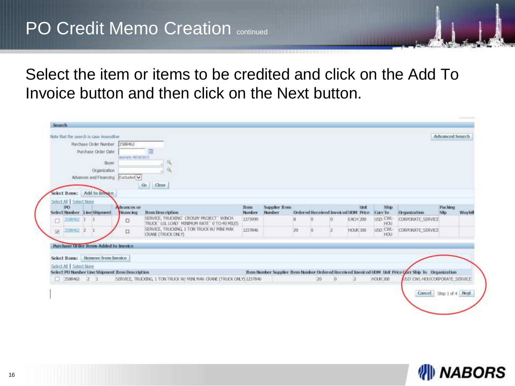# **PO Credit Memo Creation CONTRO CONTROO**

Select the item or items to be credited and click on the Add To Invoice button and then click on the Next button.

| Note that the search is case insensitive        |                                        |                                                                                          |                      |                                |    |    |          |                                                    |                               |                                                                                                    |                        |         |
|-------------------------------------------------|----------------------------------------|------------------------------------------------------------------------------------------|----------------------|--------------------------------|----|----|----------|----------------------------------------------------|-------------------------------|----------------------------------------------------------------------------------------------------|------------------------|---------|
|                                                 |                                        |                                                                                          |                      |                                |    |    |          |                                                    |                               |                                                                                                    | <b>Advanced Search</b> |         |
| Purchase Order Number 3588462                   |                                        |                                                                                          |                      |                                |    |    |          |                                                    |                               |                                                                                                    |                        |         |
| Purchase Order Date:                            |                                        |                                                                                          |                      |                                |    |    |          |                                                    |                               |                                                                                                    |                        |         |
| Buver                                           | Continuated OW1W20571                  |                                                                                          |                      |                                |    |    |          |                                                    |                               |                                                                                                    |                        |         |
| Organization                                    |                                        |                                                                                          |                      |                                |    |    |          |                                                    |                               |                                                                                                    |                        |         |
| Advances and Financing Excluded V               |                                        |                                                                                          |                      |                                |    |    |          |                                                    |                               |                                                                                                    |                        |         |
|                                                 |                                        |                                                                                          |                      |                                |    |    |          |                                                    |                               |                                                                                                    |                        |         |
|                                                 |                                        | Clear<br>60                                                                              |                      |                                |    |    |          |                                                    |                               |                                                                                                    |                        |         |
| Seket Items: Add to Invoice                     |                                        |                                                                                          |                      |                                |    |    |          |                                                    |                               |                                                                                                    |                        |         |
| Select All   Select None                        |                                        |                                                                                          |                      |                                |    |    |          |                                                    |                               |                                                                                                    |                        |         |
| <b>DO</b><br>Select Number Line Shipment        | <b>Advances</b> or<br><b>Financing</b> | <b>Item Description</b>                                                                  | <b>Rem</b><br>Number | <b>Supplier Item</b><br>Number |    |    |          | <b>Unit</b><br>Ordered Received Invoiced UOM Price | Ship<br>Curr To               | Crganization                                                                                       | Pacidon<br><b>São</b>  | Waybill |
| 3588462<br>α                                    | α                                      | SERVICE, TRUCKING' CROSBY PROJECT' WINCH<br>TRUCK" LGL LOAD" MINIMUM RATE" O TO 40 MILES | 1275999              |                                |    |    |          | EACH 200                                           | <b>USD CWL-</b><br><b>HOU</b> | <b>CORPORATE SERVICE</b>                                                                           |                        |         |
| 1588452 2<br>isi.                               | o                                      | SERVICE, TRUGGING, 1 TON TRUCK W/ MINI MAX.<br><b>CRANE (TRUCK ONLY)</b>                 | 1237846              |                                | 20 |    |          | <b>HOUR 300</b>                                    | USD CWL-<br><b>HOU</b>        | CORPORATE SERVICE                                                                                  |                        |         |
| <b>Purchase Order flems Added to Invoice</b>    |                                        |                                                                                          |                      |                                |    |    |          |                                                    |                               |                                                                                                    |                        |         |
| Select Items: Bemove from Invoice               |                                        |                                                                                          |                      |                                |    |    |          |                                                    |                               |                                                                                                    |                        |         |
| Select All   Select None                        |                                        |                                                                                          |                      |                                |    |    |          |                                                    |                               |                                                                                                    |                        |         |
| Select PO Number Line Shipment Item Description |                                        |                                                                                          |                      |                                |    |    |          |                                                    |                               | Item Number Supplier Rem Number Ordered Received Invoiced UOM Unit Price Garr Ship To Organization |                        |         |
|                                                 |                                        | SERVICE, TRUCKING, 1 TON TRUCK W/ MINI MAX GRANE (TRUCK ONLY) 1237846                    |                      |                                |    | 20 | $\alpha$ |                                                    | <b>HOUR 300</b>               | USD CWL-HOU CORPORATE SERVICE                                                                      |                        |         |
| $13588462$ 2 1                                  |                                        |                                                                                          |                      |                                |    |    |          |                                                    |                               |                                                                                                    |                        |         |

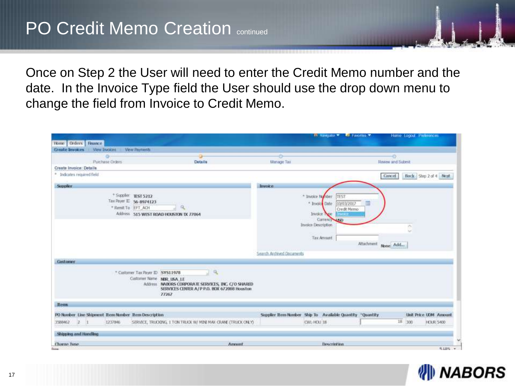Once on Step 2 the User will need to enter the Credit Memo number and the date. In the Invoice Type field the User should use the drop down menu to change the field from Invoice to Credit Memo.

| <b>View Payments</b><br>View Invoices<br><b>Create Invoices</b>     |                                                                                                                                                                                                |                           |                                                                                                                                                        |                          |                       |
|---------------------------------------------------------------------|------------------------------------------------------------------------------------------------------------------------------------------------------------------------------------------------|---------------------------|--------------------------------------------------------------------------------------------------------------------------------------------------------|--------------------------|-----------------------|
|                                                                     |                                                                                                                                                                                                |                           |                                                                                                                                                        | ÷                        |                       |
| Pushase Orders<br>Create Invoice: Details                           | <b>Details</b>                                                                                                                                                                                 | Manage Tax                |                                                                                                                                                        | <b>Review and Submit</b> |                       |
| * Indicates required field                                          |                                                                                                                                                                                                |                           |                                                                                                                                                        | Cancel                   | Back Sep 2 of 4 Next  |
| Supplier                                                            |                                                                                                                                                                                                | Invoice.                  |                                                                                                                                                        |                          |                       |
| * Supplet TEST 5212<br>Tax Payer E 56-8974123<br>* Renit To EFT ACH | Q.<br>Address 515 WEST ROAD HOUSTON DX 77064                                                                                                                                                   | Search Archived Documents | * linoice Natriber<br>TEST<br>* Invoice Date<br>10/03/2017<br><b>Credit Memo</b><br>Invoice<br>we<br>Currency USD<br>Invoice Description<br>Tax Amount | Attachment None Add.,    | n.<br>w               |
| <b>Costoner</b>                                                     |                                                                                                                                                                                                |                           |                                                                                                                                                        |                          |                       |
|                                                                     | $\mathbf{Q}_i$<br>* Customer: Tax Payer ID SYS11978<br>Customer Name NER USA LE<br>Address NABORS CORPORATE SERVICES, INC. C/O SHARED<br>SERVICES CENTER A/ P P.O. BOX 672008 Houston<br>77267 |                           |                                                                                                                                                        |                          |                       |
| <b>Rens</b>                                                         |                                                                                                                                                                                                |                           |                                                                                                                                                        |                          |                       |
| PO Number Line Shipment Trem Number Trem Description                |                                                                                                                                                                                                |                           | Supplier Item Number Ship To Available Quantity *Quantity                                                                                              |                          | Unit Price UDM Amount |
| 3589402 2 1<br>1237846                                              | SERVICE, TRUCKING, 1 TON TRUCK W/ MINI MAX CRANE (TRUCK ONLY)                                                                                                                                  |                           | CWL-HOU 18                                                                                                                                             | 18 300                   | <b>HOUR 5400</b>      |
| Shipping and Handing                                                |                                                                                                                                                                                                |                           |                                                                                                                                                        |                          |                       |
|                                                                     |                                                                                                                                                                                                |                           |                                                                                                                                                        |                          |                       |

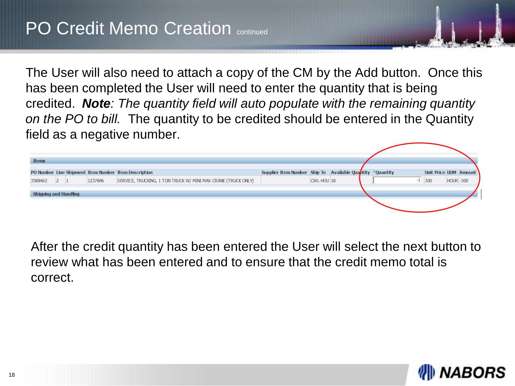The User will also need to attach a copy of the CM by the Add button. Once this has been completed the User will need to enter the quantity that is being credited. *Note: The quantity field will auto populate with the remaining quantity on the PO to bill.* The quantity to be credited should be entered in the Quantity field as a negative number.

| <b>Items</b>                 |  |         |                                                               |                                                           |            |  |                              |                 |  |
|------------------------------|--|---------|---------------------------------------------------------------|-----------------------------------------------------------|------------|--|------------------------------|-----------------|--|
|                              |  |         | PO Number Line Shipment Item Number Item Description          | Supplier Item Number Ship To Available Quantity *Quantity |            |  | <b>Unit Price UOM Amount</b> |                 |  |
| 3588462                      |  | 1237846 | SERVICE, TRUCKING, 1 TON TRUCK W/ MINI MAX CRANE (TRUCK ONLY) |                                                           | CWL-HOU 18 |  | $-1$ 300                     | <b>HOUR-300</b> |  |
| <b>Shipping and Handling</b> |  |         |                                                               |                                                           |            |  |                              |                 |  |
|                              |  |         |                                                               |                                                           |            |  |                              |                 |  |
|                              |  |         |                                                               |                                                           |            |  |                              |                 |  |

After the credit quantity has been entered the User will select the next button to review what has been entered and to ensure that the credit memo total is correct.